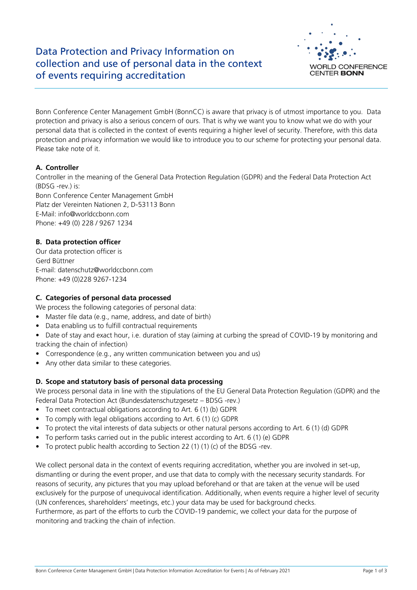

Bonn Conference Center Management GmbH (BonnCC) is aware that privacy is of utmost importance to you. Data protection and privacy is also a serious concern of ours. That is why we want you to know what we do with your personal data that is collected in the context of events requiring a higher level of security. Therefore, with this data protection and privacy information we would like to introduce you to our scheme for protecting your personal data. Please take note of it.

## **A. Controller**

Controller in the meaning of the General Data Protection Regulation (GDPR) and the Federal Data Protection Act (BDSG -rev.) is:

Bonn Conference Center Management GmbH Platz der Vereinten Nationen 2, D-53113 Bonn E-Mail: info@worldccbonn.com Phone: +49 (0) 228 / 9267 1234

### **B. Data protection officer**

Our data protection officer is Gerd Büttner E-mail: datenschutz@worldccbonn.com Phone: +49 (0)228 9267-1234

### **C. Categories of personal data processed**

We process the following categories of personal data:

- Master file data (e.g., name, address, and date of birth)
- Data enabling us to fulfill contractual requirements
- Date of stay and exact hour, i.e. duration of stay (aiming at curbing the spread of COVID-19 by monitoring and tracking the chain of infection)
- Correspondence (e.g., any written communication between you and us)
- Any other data similar to these categories.

# **D. Scope and statutory basis of personal data processing**

We process personal data in line with the stipulations of the EU General Data Protection Regulation (GDPR) and the Federal Data Protection Act (Bundesdatenschutzgesetz – BDSG -rev.)

- To meet contractual obligations according to Art. 6 (1) (b) GDPR
- To comply with legal obligations according to Art. 6 (1) (c) GDPR
- To protect the vital interests of data subjects or other natural persons according to Art. 6 (1) (d) GDPR
- To perform tasks carried out in the public interest according to Art. 6 (1) (e) GDPR
- To protect public health according to Section 22 (1) (1) (c) of the BDSG -rev.

We collect personal data in the context of events requiring accreditation, whether you are involved in set-up, dismantling or during the event proper, and use that data to comply with the necessary security standards. For reasons of security, any pictures that you may upload beforehand or that are taken at the venue will be used exclusively for the purpose of unequivocal identification. Additionally, when events require a higher level of security (UN conferences, shareholders' meetings, etc.) your data may be used for background checks. Furthermore, as part of the efforts to curb the COVID-19 pandemic, we collect your data for the purpose of monitoring and tracking the chain of infection.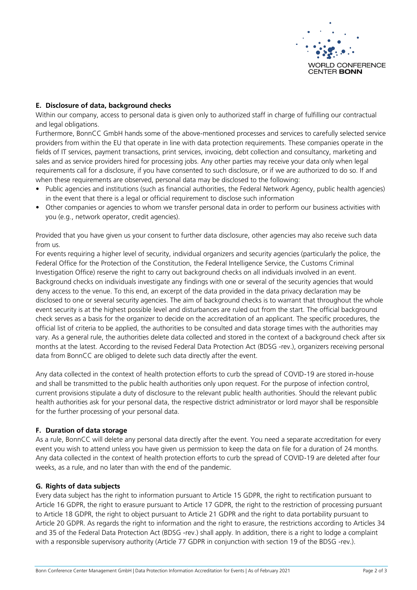

### **E. Disclosure of data, background checks**

Within our company, access to personal data is given only to authorized staff in charge of fulfilling our contractual and legal obligations.

Furthermore, BonnCC GmbH hands some of the above-mentioned processes and services to carefully selected service providers from within the EU that operate in line with data protection requirements. These companies operate in the fields of IT services, payment transactions, print services, invoicing, debt collection and consultancy, marketing and sales and as service providers hired for processing jobs. Any other parties may receive your data only when legal requirements call for a disclosure, if you have consented to such disclosure, or if we are authorized to do so. If and when these requirements are observed, personal data may be disclosed to the following:

- Public agencies and institutions (such as financial authorities, the Federal Network Agency, public health agencies) in the event that there is a legal or official requirement to disclose such information
- Other companies or agencies to whom we transfer personal data in order to perform our business activities with you (e.g., network operator, credit agencies).

Provided that you have given us your consent to further data disclosure, other agencies may also receive such data from us.

For events requiring a higher level of security, individual organizers and security agencies (particularly the police, the Federal Office for the Protection of the Constitution, the Federal Intelligence Service, the Customs Criminal Investigation Office) reserve the right to carry out background checks on all individuals involved in an event. Background checks on individuals investigate any findings with one or several of the security agencies that would deny access to the venue. To this end, an excerpt of the data provided in the data privacy declaration may be disclosed to one or several security agencies. The aim of background checks is to warrant that throughout the whole event security is at the highest possible level and disturbances are ruled out from the start. The official background check serves as a basis for the organizer to decide on the accreditation of an applicant. The specific procedures, the official list of criteria to be applied, the authorities to be consulted and data storage times with the authorities may vary. As a general rule, the authorities delete data collected and stored in the context of a background check after six months at the latest. According to the revised Federal Data Protection Act (BDSG -rev.), organizers receiving personal data from BonnCC are obliged to delete such data directly after the event.

Any data collected in the context of health protection efforts to curb the spread of COVID-19 are stored in-house and shall be transmitted to the public health authorities only upon request. For the purpose of infection control, current provisions stipulate a duty of disclosure to the relevant public health authorities. Should the relevant public health authorities ask for your personal data, the respective district administrator or lord mayor shall be responsible for the further processing of your personal data.

#### **F. Duration of data storage**

As a rule, BonnCC will delete any personal data directly after the event. You need a separate accreditation for every event you wish to attend unless you have given us permission to keep the data on file for a duration of 24 months. Any data collected in the context of health protection efforts to curb the spread of COVID-19 are deleted after four weeks, as a rule, and no later than with the end of the pandemic.

#### **G. Rights of data subjects**

Every data subject has the right to information pursuant to Article 15 GDPR, the right to rectification pursuant to Article 16 GDPR, the right to erasure pursuant to Article 17 GDPR, the right to the restriction of processing pursuant to Article 18 GDPR, the right to object pursuant to Article 21 GDPR and the right to data portability pursuant to Article 20 GDPR. As regards the right to information and the right to erasure, the restrictions according to Articles 34 and 35 of the Federal Data Protection Act (BDSG -rev.) shall apply. In addition, there is a right to lodge a complaint with a responsible supervisory authority (Article 77 GDPR in conjunction with section 19 of the BDSG -rev.).